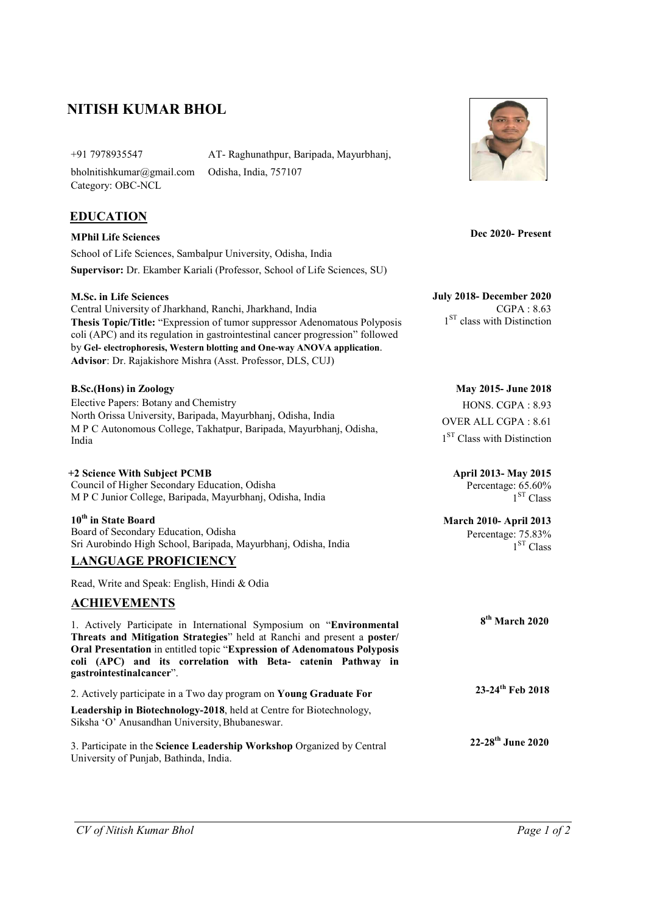# NITISH KUMAR BHOL

bholnitishkumar@gmail.com Category: OBC-NCL

+91 7978935547 AT- Raghunathpur, Baripada, Mayurbhanj, Odisha, India, 757107

## **EDUCATION**

MPhil Life Sciences School of Life Sciences, Sambalpur University, Odisha, India Supervisor: Dr. Ekamber Kariali (Professor, School of Life Sciences, SU)

Central University of Jharkhand, Ranchi, Jharkhand, India Thesis Topic/Title: "Expression of tumor suppressor Adenomatous Polyposis coli (APC) and its regulation in gastrointestinal cancer progression" followed by Gel- electrophoresis, Western blotting and One-way ANOVA application. Advisor: Dr. Rajakishore Mishra (Asst. Professor, DLS, CUJ)

Elective Papers: Botany and Chemistry North Orissa University, Baripada, Mayurbhanj, Odisha, India M P C Autonomous College, Takhatpur, Baripada, Mayurbhanj, Odisha, India

+2 Science With Subject PCMB April 2013- May 2015 Council of Higher Secondary Education, Odisha M P C Junior College, Baripada, Mayurbhanj, Odisha, India

### 10<sup>th</sup> in State Board March 2010- April 2013

 Board of Secondary Education, Odisha Sri Aurobindo High School, Baripada, Mayurbhanj, Odisha, India

### LANGUAGE PROFICIENCY

Read, Write and Speak: English, Hindi & Odia

### ACHIEVEMENTS

1. Actively Participate in International Symposium on "Environ Threats and Mitigation Strategies" held at Ranchi and present a Oral Presentation in entitled topic "Expression of Adenomatous Po coli (APC) and its correlation with Beta- catenin Pathy gastrointestinal cancer".

2. Actively participate in a Two day program on Young Graduate Fo Leadership in Biotechnology-2018, held at Centre for Biotechnology Siksha 'O' Anusandhan University, Bhubaneswar.

3. Participate in the Science Leadership Workshop Organized by Central University of Punjab, Bathinda, India.



Dec 2020- Present

M.Sc. in Life Sciences July 2018- December 2020 CGPA : 8.63 1<sup>ST</sup> class with Distinction

B.Sc.(Hons) in Zoology May 2015- June 2018 HONS. CGPA : 8.93 OVER ALL CGPA : 8.61 1<sup>ST</sup> Class with Distinction

> Percentage: 65.60%  $1<sup>ST</sup> Class$

Percentage: 75.83%  $1<sup>ST</sup> Class$ 

| ımental<br>poster/<br>olyposis<br>way<br>in | 8 <sup>th</sup> March 2020    |  |
|---------------------------------------------|-------------------------------|--|
| )r                                          | 23-24 <sup>th</sup> Feb 2018  |  |
| y,                                          |                               |  |
| mtua 1                                      | 22-28 <sup>th</sup> June 2020 |  |